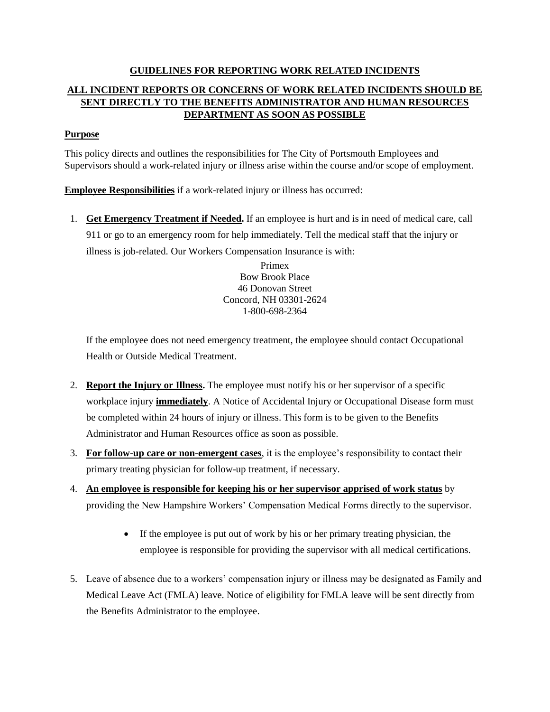## **GUIDELINES FOR REPORTING WORK RELATED INCIDENTS ALL INCIDENT REPORTS OR CONCERNS OF WORK RELATED INCIDENTS SHOULD BE SENT DIRECTLY TO THE BENEFITS ADMINISTRATOR AND HUMAN RESOURCES DEPARTMENT AS SOON AS POSSIBLE**

## **Purpose**

This policy directs and outlines the responsibilities for The City of Portsmouth Employees and Supervisors should a work-related injury or illness arise within the course and/or scope of employment.

**Employee Responsibilities** if a work-related injury or illness has occurred:

1. **Get Emergency Treatment if Needed.** If an employee is hurt and is in need of medical care, call 911 or go to an emergency room for help immediately. Tell the medical staff that the injury or illness is job-related. Our Workers Compensation Insurance is with:

> Primex Bow Brook Place 46 Donovan Street Concord, NH 03301-2624 1-800-698-2364

If the employee does not need emergency treatment, the employee should contact Occupational Health or Outside Medical Treatment.

- 2. **Report the Injury or Illness.** The employee must notify his or her supervisor of a specific workplace injury **immediately**. A Notice of Accidental Injury or Occupational Disease form must be completed within 24 hours of injury or illness. This form is to be given to the Benefits Administrator and Human Resources office as soon as possible.
- 3. **For follow-up care or non-emergent cases**, it is the employee's responsibility to contact their primary treating physician for follow-up treatment, if necessary.
- 4. **An employee is responsible for keeping his or her supervisor apprised of work status** by providing the New Hampshire Workers' Compensation Medical Forms directly to the supervisor.
	- If the employee is put out of work by his or her primary treating physician, the employee is responsible for providing the supervisor with all medical certifications.
- 5. Leave of absence due to a workers' compensation injury or illness may be designated as Family and Medical Leave Act (FMLA) leave. Notice of eligibility for FMLA leave will be sent directly from the Benefits Administrator to the employee.